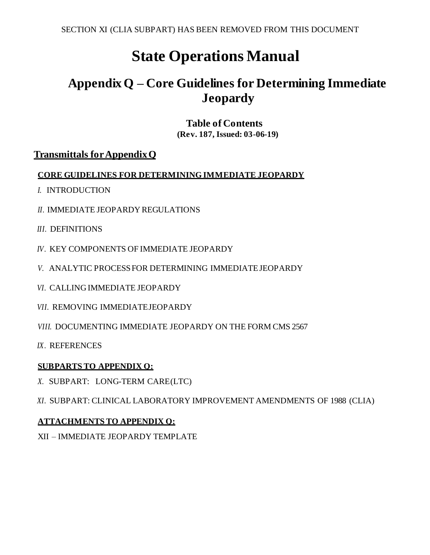# **State Operations Manual**

## **Appendix Q – Core Guidelines for Determining Immediate Jeopardy**

**Table of Contents (Rev. 187, Issued: 03-06-19)**

## **Transmittals for AppendixQ**

### **CORE GUIDELINES FOR DETERMINING IMMEDIATE JEOPARDY**

- *I.* [INTRODUCTION](#page-1-0)
- *II.* IMMEDIATE JEOPARDY [REGULATIONS](#page-1-1)
- *III.* [DEFINITIONS](#page-2-0)
- *IV.* KEY [COMPONENTS](#page-3-0) OF IMMEDIATE JEOPARDY
- *V.* ANALYTIC PROCESSFOR DETERMINING [IMMEDIATEJEOPARDY](#page-3-1)
- *VI.* [CALLING IMMEDIATE](#page-7-0) JEOPARDY
- *VII.* [REMOVING IMMEDIATEJEOPARDY](#page-8-0)
- *VIII.* [DOCUMENTING](#page-10-0) IMMEDIATE JEOPARDY ON THE FORM CMS 2567
- *IX.* [REFERENCES](#page-11-0)

## **SUBPARTS TO APPENDIX Q:**

- *X.* [SUBPART: LONG-TERM CARE\(LTC\)](#page-12-0)
- *XI.* [SUBPART: CLINICAL LABORATORY IMPROVEMENT AMENDMENTS OF 1988](#page-17-0) (CLIA)

## **ATTACHMENTS TO APPENDIX Q:**

XII – [IMMEDIATE JEOPARDY TEMPLATE](#page-17-0)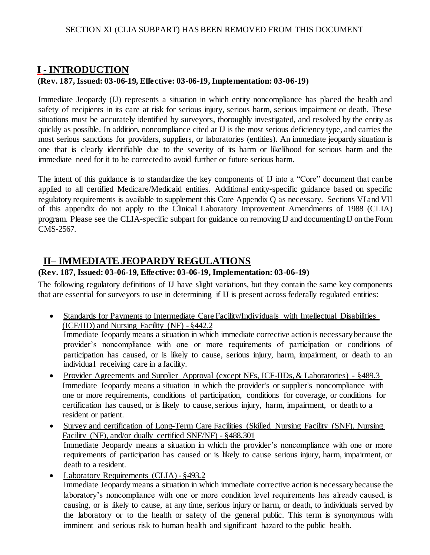## <span id="page-1-0"></span>**I - INTRODUCTION**

### **(Rev. 187, Issued: 03-06-19, Effective: 03-06-19, Implementation: 03-06-19)**

Immediate Jeopardy (IJ) represents a situation in which entity noncompliance has placed the health and safety of recipients in its care at risk for serious injury, serious harm, serious impairment or death. These situations must be accurately identified by surveyors, thoroughly investigated, and resolved by the entity as quickly as possible. In addition, noncompliance cited at IJ is the most serious deficiency type, and carries the most serious sanctions for providers, suppliers, or laboratories (entities). An immediate jeopardy situation is one that is clearly identifiable due to the severity of its harm or likelihood for serious harm and the immediate need for it to be corrected to avoid further or future serious harm.

The intent of this guidance is to standardize the key components of IJ into a "Core" document that canbe applied to all certified Medicare/Medicaid entities. Additional entity-specific guidance based on specific regulatory requirements is available to supplement this Core Appendix Q as necessary. Sections VI and VII of this appendix do not apply to the Clinical Laboratory Improvement Amendments of 1988 (CLIA) program. Please see the CLIA-specific subpart for guidance on removing IJ and documenting IJ on the Form CMS-2567.

## <span id="page-1-1"></span>**II– IMMEDIATE JEOPARDY REGULATIONS**

### **(Rev. 187, Issued: 03-06-19, Effective: 03-06-19, Implementation: 03-06-19)**

The following regulatory definitions of IJ have slight variations, but they contain the same key components that are essential for surveyors to use in determining if IJ is present across federally regulated entities:

• Standards for Payments to Intermediate Care Facility/Individuals with Intellectual Disabilities (ICF/IID) and Nursing Facility (NF) - §442.2

Immediate Jeopardy means a situation in which immediate corrective action is necessarybecause the provider's noncompliance with one or more requirements of participation or conditions of participation has caused, or is likely to cause, serious injury, harm, impairment, or death to an individual receiving care in a facility.

- Provider Agreements and Supplier Approval (except NFs, ICF-IIDs, & Laboratories) §489.3 Immediate Jeopardy means a situation in which the provider's or supplier's noncompliance with one or more requirements, conditions of participation, conditions for coverage, or conditions for certification has caused, or is likely to cause, serious injury, harm, impairment, or death to a resident or patient.
- Survey and certification of Long-Term Care Facilities (Skilled Nursing Facility (SNF), Nursing Facility (NF), and/or dually certified SNF/NF) - §488.301 Immediate Jeopardy means a situation in which the provider's noncompliance with one or more requirements of participation has caused or is likely to cause serious injury, harm, impairment, or death to a resident.
- Laboratory Requirements (CLIA)  $8493.2$ Immediate Jeopardy means a situation in which immediate corrective action is necessarybecause the laboratory's noncompliance with one or more condition level requirements has already caused, is causing, or is likely to cause, at any time, serious injury or harm, or death, to individuals served by the laboratory or to the health or safety of the general public. This term is synonymous with imminent and serious risk to human health and significant hazard to the public health.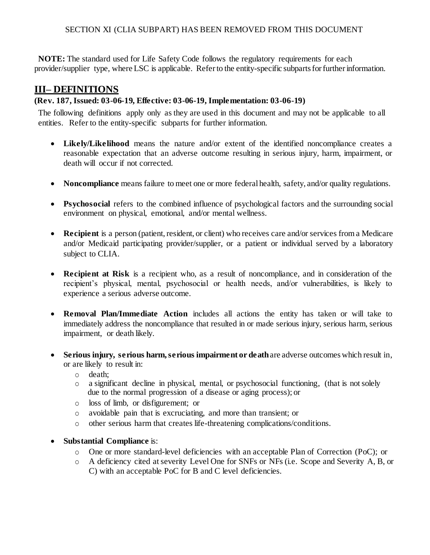**NOTE:** The standard used for Life Safety Code follows the regulatory requirements for each provider/supplier type, where LSC is applicable. Refer to the entity-specific subparts for further information.

## <span id="page-2-0"></span>**III– DEFINITIONS**

### **(Rev. 187, Issued: 03-06-19, Effective: 03-06-19, Implementation: 03-06-19)**

The following definitions apply only as they are used in this document and may not be applicable to all entities. Refer to the entity-specific subparts for further information.

- **Likely/Likelihood** means the nature and/or extent of the identified noncompliance creates a reasonable expectation that an adverse outcome resulting in serious injury, harm, impairment, or death will occur if not corrected.
- **Noncompliance** means failure to meet one or more federal health, safety, and/or quality regulations.
- **Psychosocial** refers to the combined influence of psychological factors and the surrounding social environment on physical, emotional, and/or mental wellness.
- Recipient is a person (patient, resident, or client) who receives care and/or services from a Medicare and/or Medicaid participating provider/supplier, or a patient or individual served by a laboratory subject to CLIA.
- **Recipient at Risk** is a recipient who, as a result of noncompliance, and in consideration of the recipient's physical, mental, psychosocial or health needs, and/or vulnerabilities, is likely to experience a serious adverse outcome.
- **Removal Plan/Immediate Action** includes all actions the entity has taken or will take to immediately address the noncompliance that resulted in or made serious injury, serious harm, serious impairment, or death likely.
- **Serious injury, serious harm,serious impairment or death**are adverse outcomes which result in, or are likely to result in:
	- o death;
	- o a significant decline in physical, mental, or psychosocial functioning, (that is notsolely due to the normal progression of a disease or aging process); or
	- o loss of limb, or disfigurement; or
	- o avoidable pain that is excruciating, and more than transient; or
	- o other serious harm that creates life-threatening complications/conditions.
- **•** Substantial Compliance is:
	- o One or more standard-level deficiencies with an acceptable Plan of Correction (PoC); or
	- o A deficiency cited at severity Level One for SNFs or NFs (i.e. Scope and Severity A, B, or C) with an acceptable PoC for B and C level deficiencies.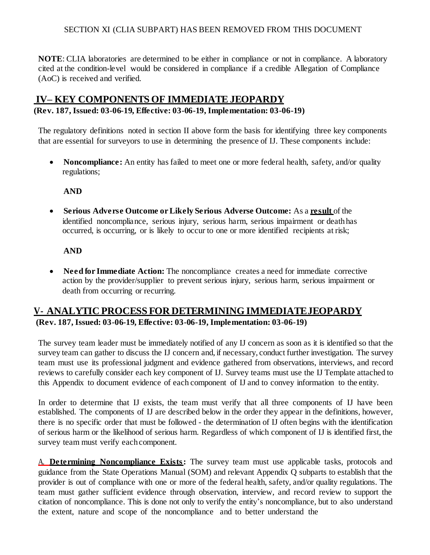**NOTE:** CLIA laboratories are determined to be either in compliance or not in compliance. A laboratory cited at the condition-level would be considered in compliance if a credible Allegation of Compliance (AoC) is received and verified.

## <span id="page-3-0"></span>**IV– KEY COMPONENTS OF IMMEDIATE JEOPARDY**

### **(Rev. 187, Issued: 03-06-19, Effective: 03-06-19, Implementation: 03-06-19)**

The regulatory definitions noted in section II above form the basis for identifying three key components that are essential for surveyors to use in determining the presence of IJ. These components include:

• **Noncompliance:** An entity has failed to meet one or more federal health, safety, and/or quality regulations;

### **AND**

 **Serious Adverse Outcome or Likely Serious Adverse Outcome:** As a **result** of the identified noncompliance, serious injury, serious harm, serious impairment or death has occurred, is occurring, or is likely to occur to one or more identified recipients at risk;

### **AND**

• Need for Immediate Action: The noncompliance creates a need for immediate corrective action by the provider/supplier to prevent serious injury, serious harm, serious impairment or death from occurring or recurring.

## <span id="page-3-1"></span>**V- ANALYTIC PROCESS FOR DETERMINING IMMEDIATEJEOPARDY (Rev. 187, Issued: 03-06-19, Effective: 03-06-19, Implementation: 03-06-19)**

The survey team leader must be immediately notified of any IJ concern as soon as it is identified so that the survey team can gather to discuss the IJ concern and, if necessary, conduct further investigation. The survey team must use its professional judgment and evidence gathered from observations, interviews, and record reviews to carefully consider each key component of IJ. Survey teams must use the IJ Template attached to this Appendix to document evidence of each component of IJ and to convey information to the entity.

In order to determine that IJ exists, the team must verify that all three components of IJ have been established. The components of IJ are described below in the order they appear in the definitions, however, there is no specific order that must be followed - the determination of IJ often begins with the identification of serious harm or the likelihood of serious harm. Regardless of which component of IJ is identified first, the survey team must verify each component.

A. **Determining Noncompliance Exists:** The survey team must use applicable tasks, protocols and guidance from the State Operations Manual (SOM) and relevant Appendix Q subparts to establish that the provider is out of compliance with one or more of the federal health, safety, and/or quality regulations. The team must gather sufficient evidence through observation, interview, and record review to support the citation of noncompliance. This is done not only to verify the entity's noncompliance, but to also understand the extent, nature and scope of the noncompliance and to better understand the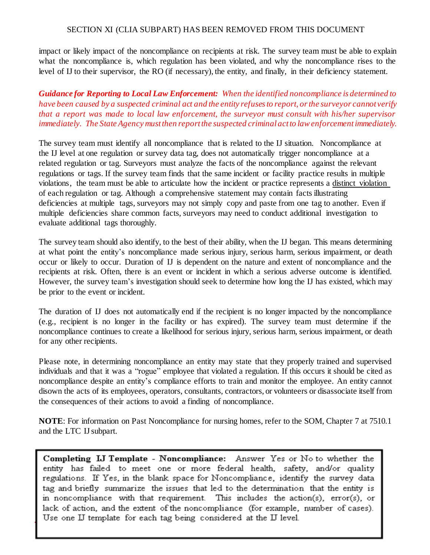impact or likely impact of the noncompliance on recipients at risk. The survey team must be able to explain what the noncompliance is, which regulation has been violated, and why the noncompliance rises to the level of IJ to their supervisor, the RO (if necessary), the entity, and finally, in their deficiency statement.

*Guidance for Reporting to Local Law Enforcement: When the identified noncompliance is determined to*  have been caused by a suspected criminal act and the entity refuses to report, or the surveyor cannot verify *that a report was made to local law enforcement, the surveyor must consult with his/her supervisor immediately. The State Agency mustthen reportthe suspected criminal actto lawenforcementimmediately.*

The survey team must identify all noncompliance that is related to the IJ situation. Noncompliance at the IJ level at one regulation or survey data tag, does not automatically trigger noncompliance at a related regulation or tag. Surveyors must analyze the facts of the noncompliance against the relevant regulations or tags. If the survey team finds that the same incident or facility practice results in multiple violations, the team must be able to articulate how the incident or practice represents a distinct violation of each regulation or tag. Although a comprehensive statement may contain facts illustrating deficiencies at multiple tags, surveyors may not simply copy and paste from one tag to another. Even if multiple deficiencies share common facts, surveyors may need to conduct additional investigation to evaluate additional tags thoroughly.

The survey team should also identify, to the best of their ability, when the IJ began. This means determining at what point the entity's noncompliance made serious injury, serious harm, serious impairment, or death occur or likely to occur. Duration of IJ is dependent on the nature and extent of noncompliance and the recipients at risk. Often, there is an event or incident in which a serious adverse outcome is identified. However, the survey team's investigation should seek to determine how long the IJ has existed, which may be prior to the event or incident.

The duration of IJ does not automatically end if the recipient is no longer impacted by the noncompliance (e.g., recipient is no longer in the facility or has expired). The survey team must determine if the noncompliance continues to create a likelihood for serious injury, serious harm, serious impairment, or death for any other recipients.

Please note, in determining noncompliance an entity may state that they properly trained and supervised individuals and that it was a "rogue" employee that violated a regulation. If this occurs it should be cited as noncompliance despite an entity's compliance efforts to train and monitor the employee. An entity cannot disown the acts of its employees, operators, consultants, contractors, or volunteers or disassociate itself from the consequences of their actions to avoid a finding of noncompliance.

**NOTE**: For information on Past Noncompliance for nursing homes, refer to the SOM, Chapter 7 at 7510.1 and the LTC IJ subpart.

Completing IJ Template - Noncompliance: Answer Yes or No to whether the entity has failed to meet one or more federal health, safety, and/or quality regulations. If Yes, in the blank space for Noncompliance, identify the survey data tag and briefly summarize the issues that led to the determination that the entity is in noncompliance with that requirement. This includes the action(s), error(s), or lack of action, and the extent of the noncompliance (for example, number of cases). Use one IJ template for each tag being considered at the IJ level.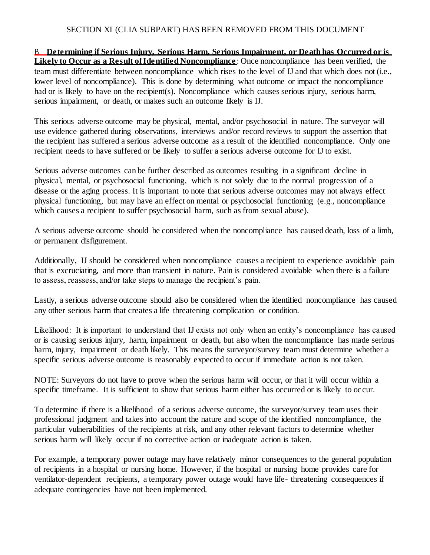B. **Determining if Serious Injury, Serious Harm, Serious Impairment, or Death has Occurred or is Likely to Occur as a Result of Identified Noncompliance**: Once noncompliance has been verified, the team must differentiate between noncompliance which rises to the level of IJ and that which does not (i.e., lower level of noncompliance). This is done by determining what outcome or impact the noncompliance had or is likely to have on the recipient(s). Noncompliance which causes serious injury, serious harm, serious impairment, or death, or makes such an outcome likely is IJ.

This serious adverse outcome may be physical, mental, and/or psychosocial in nature. The surveyor will use evidence gathered during observations, interviews and/or record reviews to support the assertion that the recipient has suffered a serious adverse outcome as a result of the identified noncompliance. Only one recipient needs to have suffered or be likely to suffer a serious adverse outcome for IJ to exist.

Serious adverse outcomes can be further described as outcomes resulting in a significant decline in physical, mental, or psychosocial functioning, which is not solely due to the normal progression of a disease or the aging process. It is important to note that serious adverse outcomes may not always effect physical functioning, but may have an effect on mental or psychosocial functioning (e.g., noncompliance which causes a recipient to suffer psychosocial harm, such as from sexual abuse).

A serious adverse outcome should be considered when the noncompliance has caused death, loss of a limb, or permanent disfigurement.

Additionally, IJ should be considered when noncompliance causes a recipient to experience avoidable pain that is excruciating, and more than transient in nature. Pain is considered avoidable when there is a failure to assess, reassess, and/or take steps to manage the recipient's pain.

Lastly, a serious adverse outcome should also be considered when the identified noncompliance has caused any other serious harm that creates a life threatening complication or condition.

Likelihood: It is important to understand that IJ exists not only when an entity's noncompliance has caused or is causing serious injury, harm, impairment or death, but also when the noncompliance has made serious harm, injury, impairment or death likely. This means the surveyor/survey team must determine whether a specific serious adverse outcome is reasonably expected to occur if immediate action is not taken.

NOTE: Surveyors do not have to prove when the serious harm will occur, or that it will occur within a specific timeframe. It is sufficient to show that serious harm either has occurred or is likely to occur.

To determine if there is a likelihood of a serious adverse outcome, the surveyor/survey team uses their professional judgment and takes into account the nature and scope of the identified noncompliance, the particular vulnerabilities of the recipients at risk, and any other relevant factors to determine whether serious harm will likely occur if no corrective action or inadequate action is taken.

For example, a temporary power outage may have relatively minor consequences to the general population of recipients in a hospital or nursing home. However, if the hospital or nursing home provides care for ventilator-dependent recipients, a temporary power outage would have life- threatening consequences if adequate contingencies have not been implemented.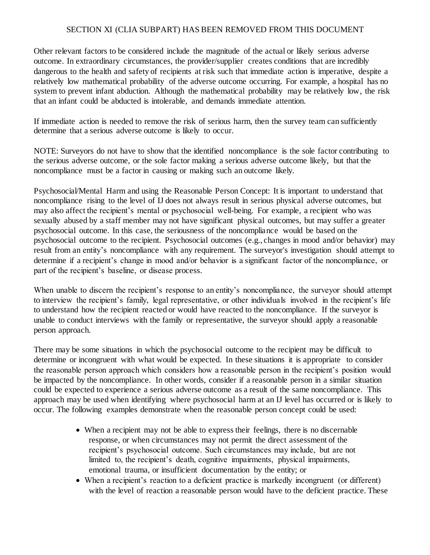Other relevant factors to be considered include the magnitude of the actual or likely serious adverse outcome. In extraordinary circumstances, the provider/supplier creates conditions that are incredibly dangerous to the health and safety of recipients at risk such that immediate action is imperative, despite a relatively low mathematical probability of the adverse outcome occurring. For example, a hospital has no system to prevent infant abduction. Although the mathematical probability may be relatively low, the risk that an infant could be abducted is intolerable, and demands immediate attention.

If immediate action is needed to remove the risk of serious harm, then the survey team can sufficiently determine that a serious adverse outcome is likely to occur.

NOTE: Surveyors do not have to show that the identified noncompliance is the sole factor contributing to the serious adverse outcome, or the sole factor making a serious adverse outcome likely, but that the noncompliance must be a factor in causing or making such an outcome likely.

Psychosocial/Mental Harm and using the Reasonable Person Concept: It is important to understand that noncompliance rising to the level of IJ does not always result in serious physical adverse outcomes, but may also affect the recipient's mental or psychosocial well-being. For example, a recipient who was sexually abused by a staff member may not have significant physical outcomes, but may suffer a greater psychosocial outcome. In this case, the seriousness of the noncompliance would be based on the psychosocial outcome to the recipient. Psychosocial outcomes (e.g., changes in mood and/or behavior) may result from an entity's noncompliance with any requirement. The surveyor's investigation should attempt to determine if a recipient's change in mood and/or behavior is a significant factor of the noncompliance, or part of the recipient's baseline, or disease process.

When unable to discern the recipient's response to an entity's noncompliance, the surveyor should attempt to interview the recipient's family, legal representative, or other individuals involved in the recipient's life to understand how the recipient reacted or would have reacted to the noncompliance. If the surveyor is unable to conduct interviews with the family or representative, the surveyor should apply a reasonable person approach.

There may be some situations in which the psychosocial outcome to the recipient may be difficult to determine or incongruent with what would be expected. In these situations it is appropriate to consider the reasonable person approach which considers how a reasonable person in the recipient's position would be impacted by the noncompliance. In other words, consider if a reasonable person in a similar situation could be expected to experience a serious adverse outcome as a result of the same noncompliance. This approach may be used when identifying where psychosocial harm at an IJ level has occurred or is likely to occur. The following examples demonstrate when the reasonable person concept could be used:

- When a recipient may not be able to express their feelings, there is no discernable response, or when circumstances may not permit the direct assessment of the recipient's psychosocial outcome. Such circumstances may include, but are not limited to, the recipient's death, cognitive impairments, physical impairments, emotional trauma, or insufficient documentation by the entity; or
- When a recipient's reaction to a deficient practice is markedly incongruent (or different) with the level of reaction a reasonable person would have to the deficient practice. These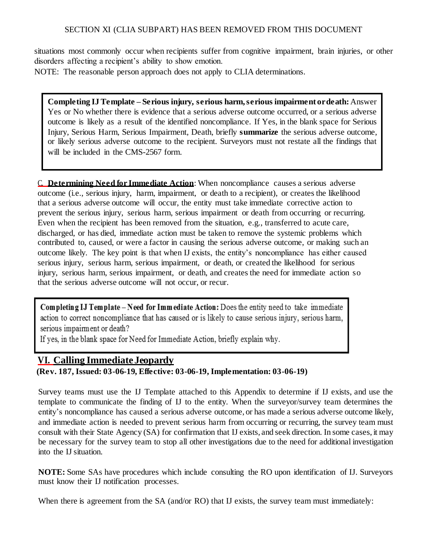situations most commonly occur when recipients suffer from cognitive impairment, brain injuries, or other disorders affecting a recipient's ability to show emotion.

NOTE: The reasonable person approach does not apply to CLIA determinations.

**Completing IJTemplate – Serious injury, serious harm,serious impairment ordeath:**Answer Yes or No whether there is evidence that a serious adverse outcome occurred, or a serious adverse outcome is likely as a result of the identified noncompliance. If Yes, in the blank space for Serious Injury, Serious Harm, Serious Impairment, Death, briefly **summarize** the serious adverse outcome, or likely serious adverse outcome to the recipient. Surveyors must not restate all the findings that will be included in the CMS-2567 form.

C. **Determining Need for Immediate Action**: When noncompliance causes a serious adverse outcome (i.e., serious injury, harm, impairment, or death to a recipient), or creates the likelihood that a serious adverse outcome will occur, the entity must take immediate corrective action to prevent the serious injury, serious harm, serious impairment or death from occurring or recurring. Even when the recipient has been removed from the situation, e.g., transferred to acute care, discharged, or has died, immediate action must be taken to remove the systemic problems which contributed to, caused, or were a factor in causing the serious adverse outcome, or making such an outcome likely. The key point is that when IJ exists, the entity's noncompliance has either caused serious injury, serious harm, serious impairment, or death, or created the likelihood for serious injury, serious harm, serious impairment, or death, and creates the need for immediate action so that the serious adverse outcome will not occur, or recur.

Completing IJ Template - Need for Immediate Action: Does the entity need to take immediate action to correct noncompliance that has caused or is likely to cause serious injury, serious harm, serious impairment or death?

If yes, in the blank space for Need for Immediate Action, briefly explain why.

## <span id="page-7-0"></span>**VI. Calling ImmediateJeopardy**

**(Rev. 187, Issued: 03-06-19, Effective: 03-06-19, Implementation: 03-06-19)**

Survey teams must use the IJ Template attached to this Appendix to determine if IJ exists, and use the template to communicate the finding of IJ to the entity. When the surveyor/survey team determines the entity's noncompliance has caused a serious adverse outcome, or has made a serious adverse outcome likely, and immediate action is needed to prevent serious harm from occurring or recurring, the survey team must consult with their State Agency (SA) for confirmation that IJ exists, and seek direction. In some cases, it may be necessary for the survey team to stop all other investigations due to the need for additional investigation into the IJ situation.

**NOTE:** Some SAs have procedures which include consulting the RO upon identification of IJ. Surveyors must know their IJ notification processes.

When there is agreement from the SA (and/or RO) that IJ exists, the survey team must immediately: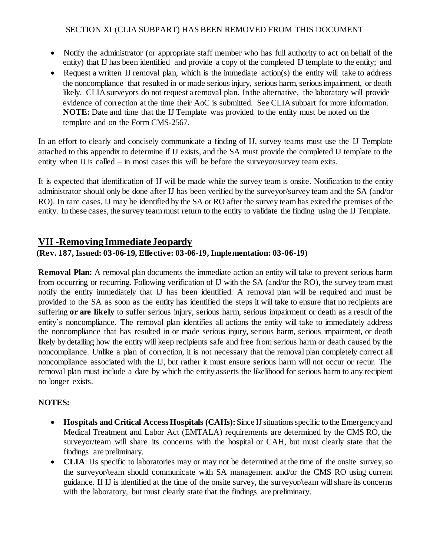- Notify the administrator (or appropriate staff member who has full authority to act on behalf of the entity) that IJ has been identified and provide a copy of the completed IJ template to the entity; and
- Request a written IJ removal plan, which is the immediate action(s) the entity will take to address the noncompliance that resulted in or made serious injury, serious harm, serious impairment, or death likely. CLIA surveyors do not request a removal plan. Inthe alternative, the laboratory will provide evidence of correction at the time their AoC is submitted. See CLIA subpart for more information. **NOTE:** Date and time that the IJ Template was provided to the entity must be noted on the template and on the Form CMS-2567.

In an effort to clearly and concisely communicate a finding of IJ, survey teams must use the IJ Template attached to this appendix to determine if IJ exists, and the SA must provide the completed IJ template to the entity when IJ is called – in most cases this will be before the surveyor/survey team exits.

It is expected that identification of IJ will be made while the survey team is onsite. Notification to the entity administrator should only be done after IJ has been verified by the surveyor/survey team and the SA (and/or RO). In rare cases, IJ may be identified by the SA or RO after the survey team has exited the premises of the entity. In these cases, the survey team must return to the entity to validate the finding using the IJ Template.

## <span id="page-8-0"></span>**VII -Removing Immediate Jeopardy**

### **(Rev. 187, Issued: 03-06-19, Effective: 03-06-19, Implementation: 03-06-19)**

**Removal Plan:** A removal plan documents the immediate action an entity will take to prevent serious harm from occurring or recurring. Following verification of IJ with the SA (and/or the RO), the survey team must notify the entity immediately that IJ has been identified. A removal plan will be required and must be provided to the SA as soon as the entity has identified the steps it will take to ensure that no recipients are suffering **or are likely** to suffer serious injury, serious harm, serious impairment or death as a result of the entity's noncompliance. The removal plan identifies all actions the entity will take to immediately address the noncompliance that has resulted in or made serious injury, serious harm, serious impairment, or death likely by detailing how the entity will keep recipients safe and free from serious harm or death caused by the noncompliance. Unlike a plan of correction, it is not necessary that the removal plan completely correct all noncompliance associated with the IJ, but rather it must ensure serious harm will not occur or recur. The removal plan must include a date by which the entity asserts the likelihood for serious harm to any recipient no longer exists.

## **NOTES:**

- **Hospitals and Critical AccessHospitals (CAHs):** Since IJsituationsspecific to the Emergencyand Medical Treatment and Labor Act (EMTALA) requirements are determined by the CMS RO, the surveyor/team will share its concerns with the hospital or CAH, but must clearly state that the findings are preliminary.
- **CLIA**: IJs specific to laboratories may or may not be determined at the time of the onsite survey, so the surveyor/team should communicate with SA management and/or the CMS RO using current guidance. If IJ is identified at the time of the onsite survey, the surveyor/team willshare its concerns with the laboratory, but must clearly state that the findings are preliminary.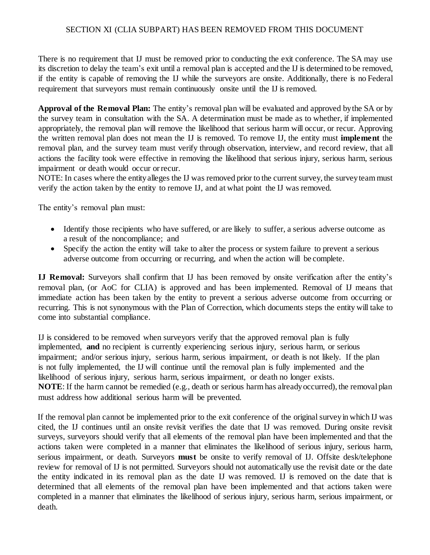There is no requirement that IJ must be removed prior to conducting the exit conference. The SA may use its discretion to delay the team's exit until a removal plan is accepted and the IJ is determined to be removed, if the entity is capable of removing the IJ while the surveyors are onsite. Additionally, there is no Federal requirement that surveyors must remain continuously onsite until the IJ is removed.

**Approval of the Removal Plan:** The entity's removal plan will be evaluated and approved bythe SA or by the survey team in consultation with the SA. A determination must be made as to whether, if implemented appropriately, the removal plan will remove the likelihood that serious harm will occur, or recur. Approving the written removal plan does not mean the IJ is removed. To remove IJ, the entity must **implement** the removal plan, and the survey team must verify through observation, interview, and record review, that all actions the facility took were effective in removing the likelihood that serious injury, serious harm, serious impairment or death would occur orrecur.

NOTE: In cases where the entity alleges the IJ was removed prior to the current survey, the survey team must verify the action taken by the entity to remove IJ, and at what point the IJ was removed.

The entity's removal plan must:

- Identify those recipients who have suffered, or are likely to suffer, a serious adverse outcome as a result of the noncompliance; and
- Specify the action the entity will take to alter the process or system failure to prevent a serious adverse outcome from occurring or recurring, and when the action will be complete.

**IJ Removal:** Surveyors shall confirm that IJ has been removed by onsite verification after the entity's removal plan, (or AoC for CLIA) is approved and has been implemented. Removal of IJ means that immediate action has been taken by the entity to prevent a serious adverse outcome from occurring or recurring. This is not synonymous with the Plan of Correction, which documents steps the entity will take to come into substantial compliance.

IJ is considered to be removed when surveyors verify that the approved removal plan is fully implemented, **and** no recipient is currently experiencing serious injury, serious harm, or serious impairment; and/or serious injury, serious harm, serious impairment, or death is not likely. If the plan is not fully implemented, the IJ will continue until the removal plan is fully implemented and the likelihood of serious injury, serious harm, serious impairment, or death no longer exists. **NOTE**: If the harm cannot be remedied (e.g., death or serious harm has already occurred), the removal plan must address how additional serious harm will be prevented.

If the removal plan cannot be implemented prior to the exit conference of the original survey in which IJ was cited, the IJ continues until an onsite revisit verifies the date that IJ was removed. During onsite revisit surveys, surveyors should verify that all elements of the removal plan have been implemented and that the actions taken were completed in a manner that eliminates the likelihood of serious injury, serious harm, serious impairment, or death. Surveyors **must** be onsite to verify removal of IJ. Offsite desk/telephone review for removal of IJ is not permitted. Surveyors should not automatically use the revisit date or the date the entity indicated in its removal plan as the date IJ was removed. IJ is removed on the date that is determined that all elements of the removal plan have been implemented and that actions taken were completed in a manner that eliminates the likelihood of serious injury, serious harm, serious impairment, or death.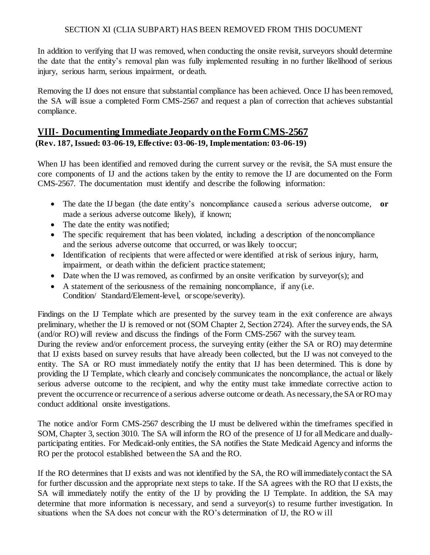In addition to verifying that IJ was removed, when conducting the onsite revisit, surveyors should determine the date that the entity's removal plan was fully implemented resulting in no further likelihood of serious injury, serious harm, serious impairment, or death.

Removing the IJ does not ensure that substantial compliance has been achieved. Once IJ has been removed, the SA will issue a completed Form CMS-2567 and request a plan of correction that achieves substantial compliance.

## <span id="page-10-0"></span>**VIII- Documenting ImmediateJeopardy onthe FormCMS-2567**

**(Rev. 187, Issued: 03-06-19, Effective: 03-06-19, Implementation: 03-06-19)**

When IJ has been identified and removed during the current survey or the revisit, the SA must ensure the core components of IJ and the actions taken by the entity to remove the IJ are documented on the Form CMS-2567. The documentation must identify and describe the following information:

- The date the IJ began (the date entity's noncompliance caused a serious adverse outcome, **or** made a serious adverse outcome likely), if known;
- The date the entity was notified;
- The specific requirement that has been violated, including a description of the noncompliance and the serious adverse outcome that occurred, or was likely to occur;
- Identification of recipients that were affected or were identified at risk of serious injury, harm, impairment, or death within the deficient practice statement;
- Date when the IJ was removed, as confirmed by an onsite verification by surveyor(s); and
- $\bullet$  A statement of the seriousness of the remaining noncompliance, if any (i.e. Condition/ Standard/Element-level, or scope/severity).

Findings on the IJ Template which are presented by the survey team in the exit conference are always preliminary, whether the IJ is removed or not (SOM Chapter 2, Section 2724). After the surveyends, the SA (and/or RO) will review and discuss the findings of the Form CMS-2567 with the survey team.

During the review and/or enforcement process, the surveying entity (either the SA or RO) may determine that IJ exists based on survey results that have already been collected, but the IJ was not conveyed to the entity. The SA or RO must immediately notify the entity that IJ has been determined. This is done by providing the IJ Template, which clearly and concisely communicates the noncompliance, the actual or likely serious adverse outcome to the recipient, and why the entity must take immediate corrective action to prevent the occurrence or recurrence of a serious adverse outcome or death. As necessary,the SA orROmay conduct additional onsite investigations.

The notice and/or Form CMS-2567 describing the IJ must be delivered within the timeframes specified in SOM, Chapter 3, section 3010. The SA will inform the RO of the presence of IJ for all Medicare and duallyparticipating entities. For Medicaid-only entities, the SA notifies the State Medicaid Agency and informs the RO per the protocol established between the SA and the RO.

If the RO determines that IJ exists and was not identified by the SA, the RO willimmediatelycontact the SA for further discussion and the appropriate next steps to take. If the SA agrees with the RO that IJ exists, the SA will immediately notify the entity of the IJ by providing the IJ Template. In addition, the SA may determine that more information is necessary, and send a surveyor(s) to resume further investigation. In situations when the SA does not concur with the RO's determination of IJ, the RO w ill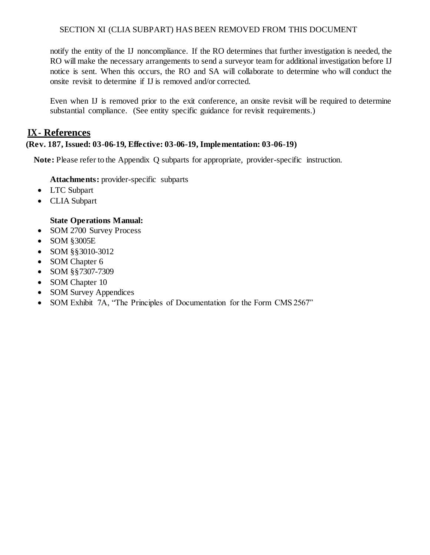notify the entity of the IJ noncompliance. If the RO determines that further investigation is needed, the RO will make the necessary arrangements to send a surveyor team for additional investigation before IJ notice is sent. When this occurs, the RO and SA will collaborate to determine who will conduct the onsite revisit to determine if IJ is removed and/or corrected.

Even when IJ is removed prior to the exit conference, an onsite revisit will be required to determine substantial compliance. (See entity specific guidance for revisit requirements.)

## <span id="page-11-0"></span>**IX- References**

### **(Rev. 187, Issued: 03-06-19, Effective: 03-06-19, Implementation: 03-06-19)**

**Note:** Please refer to the Appendix Q subparts for appropriate, provider-specific instruction.

**Attachments:** provider-specific subparts

- LTC Subpart
- CLIA Subpart

### **State Operations Manual:**

- SOM 2700 Survey Process
- SOM §3005E
- SOM §§3010-3012
- SOM Chapter 6
- SOM §§7307-7309
- SOM Chapter 10
- SOM Survey Appendices
- SOM Exhibit 7A, "The Principles of Documentation for the Form CMS 2567"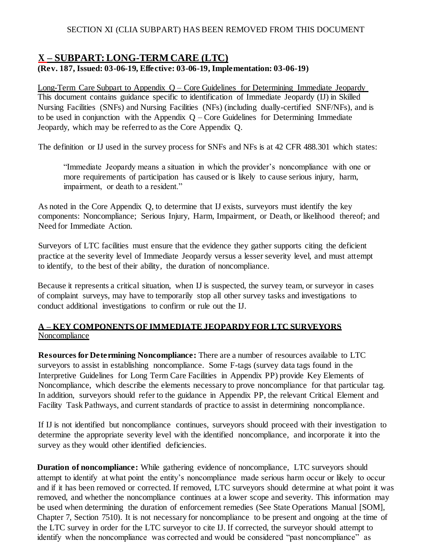## <span id="page-12-0"></span>**X – SUBPART: LONG-TERM CARE (LTC) (Rev. 187, Issued: 03-06-19, Effective: 03-06-19, Implementation: 03-06-19)**

Long-Term Care Subpart to Appendix Q – Core Guidelines for Determining Immediate Jeopardy This document contains guidance specific to identification of Immediate Jeopardy (IJ) in Skilled Nursing Facilities (SNFs) and Nursing Facilities (NFs) (including dually-certified SNF/NFs), and is to be used in conjunction with the Appendix  $Q$  – Core Guidelines for Determining Immediate Jeopardy, which may be referred to as the Core Appendix Q.

The definition or IJ used in the survey process for SNFs and NFs is at 42 CFR 488.301 which states:

"Immediate Jeopardy means a situation in which the provider's noncompliance with one or more requirements of participation has caused or is likely to cause serious injury, harm, impairment, or death to a resident."

As noted in the Core Appendix Q, to determine that IJ exists, surveyors must identify the key components: Noncompliance; Serious Injury, Harm, Impairment, or Death, or likelihood thereof; and Need for Immediate Action.

Surveyors of LTC facilities must ensure that the evidence they gather supports citing the deficient practice at the severity level of Immediate Jeopardy versus a lesser severity level, and must attempt to identify, to the best of their ability, the duration of noncompliance.

Because it represents a critical situation, when IJ is suspected, the survey team, or surveyor in cases of complaint surveys, may have to temporarily stop all other survey tasks and investigations to conduct additional investigations to confirm or rule out the IJ.

### **A – KEY COMPONENTS OF IMMEDIATE JEOPARDY FOR LTC SURVEYORS** Noncompliance

**Resources for Determining Noncompliance:** There are a number of resources available to LTC surveyors to assist in establishing noncompliance. Some F-tags (survey data tags found in the Interpretive Guidelines for Long Term Care Facilities in Appendix PP) provide Key Elements of Noncompliance, which describe the elements necessary to prove noncompliance for that particular tag. In addition, surveyors should refer to the guidance in Appendix PP, the relevant Critical Element and Facility Task Pathways, and current standards of practice to assist in determining noncompliance.

If IJ is not identified but noncompliance continues, surveyors should proceed with their investigation to determine the appropriate severity level with the identified noncompliance, and incorporate it into the survey as they would other identified deficiencies.

**Duration of noncompliance:** While gathering evidence of noncompliance, LTC surveyors should attempt to identify at what point the entity's noncompliance made serious harm occur or likely to occur and if it has been removed or corrected. If removed, LTC surveyors should determine at what point it was removed, and whether the noncompliance continues at a lower scope and severity. This information may be used when determining the duration of enforcement remedies (See State Operations Manual [SOM], Chapter 7, Section 7510). It is not necessary for noncompliance to be present and ongoing at the time of the LTC survey in order for the LTC surveyor to cite IJ. If corrected, the surveyor should attempt to identify when the noncompliance was corrected and would be considered "past noncompliance" as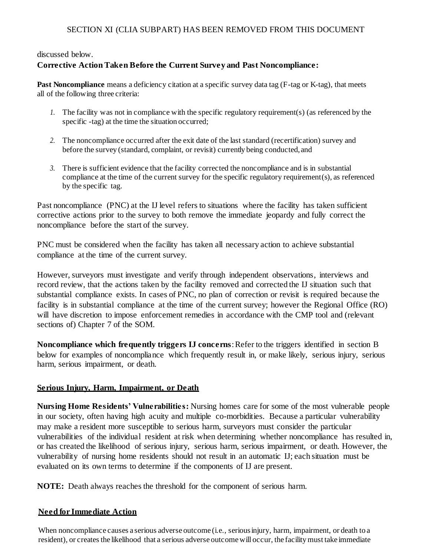### discussed below.

### **Corrective Action Taken Before the Current Survey and Past Noncompliance:**

**Past Noncompliance** means a deficiency citation at a specific survey data tag (F-tag or K-tag), that meets all of the following three criteria:

- *1.* The facility was not in compliance with the specific regulatory requirement(s) (as referenced by the specific -tag) at the time the situation occurred;
- *2.* The noncompliance occurred after the exit date of the last standard (recertification) survey and before the survey (standard, complaint, or revisit) currently being conducted, and
- *3.* There is sufficient evidence that the facility corrected the noncompliance and is in substantial compliance at the time of the current survey for the specific regulatory requirement(s), as referenced by the specific tag.

Past noncompliance (PNC) at the IJ level refers to situations where the facility has taken sufficient corrective actions prior to the survey to both remove the immediate jeopardy and fully correct the noncompliance before the start of the survey.

PNC must be considered when the facility has taken all necessary action to achieve substantial compliance at the time of the current survey.

However, surveyors must investigate and verify through independent observations, interviews and record review, that the actions taken by the facility removed and corrected the IJ situation such that substantial compliance exists. In cases of PNC, no plan of correction or revisit is required because the facility is in substantial compliance at the time of the current survey; however the Regional Office (RO) will have discretion to impose enforcement remedies in accordance with the CMP tool and (relevant sections of) Chapter 7 of the SOM.

**Noncompliance which frequently triggers IJ concerns**: Refer to the triggers identified in section B below for examples of noncompliance which frequently result in, or make likely, serious injury, serious harm, serious impairment, or death.

### **Serious Injury, Harm, Impairment, or Death**

**Nursing Home Residents' Vulnerabilities:** Nursing homes care for some of the most vulnerable people in our society, often having high acuity and multiple co-morbidities. Because a particular vulnerability may make a resident more susceptible to serious harm, surveyors must consider the particular vulnerabilities of the individual resident at risk when determining whether noncompliance has resulted in, or has created the likelihood of serious injury, serious harm, serious impairment, or death. However, the vulnerability of nursing home residents should not result in an automatic IJ; each situation must be evaluated on its own terms to determine if the components of IJ are present.

**NOTE:** Death always reaches the threshold for the component of serious harm.

### **Need for Immediate Action**

When noncompliance causes a serious adverse outcome *(i.e., seriousinjury, harm, impairment, or death to a* resident), or creates the likelihood that a serious adverse outcome will occur, the facility must take immediate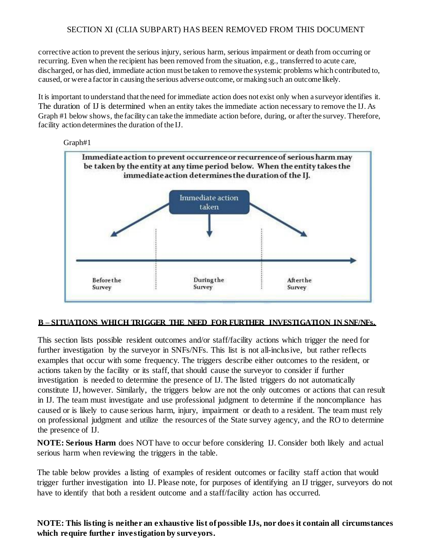corrective action to prevent the serious injury, serious harm, serious impairment or death from occurring or recurring. Even when the recipient has been removed from the situation, e.g., transferred to acute care, discharged, or has died, immediate action must be taken to remove the systemic problems which contributed to, caused, or were a factor in causing the serious adverse outcome, or making such an outcome likely.

It is important to understand that the need for immediate action does not exist only when a surveyor identifies it. The duration of IJ is determined when an entity takes the immediate action necessary to remove the IJ. As Graph #1 below shows, the facility can take the immediate action before, during, or after the survey. Therefore, facility action determines the duration of the IJ.



#### **B – SITUATIONS WHICH TRIGGER THE NEED FOR FURTHER INVESTIGATION IN SNF/NFs.**

This section lists possible resident outcomes and/or staff/facility actions which trigger the need for further investigation by the surveyor in SNFs/NFs. This list is not all-inclusive, but rather reflects examples that occur with some frequency. The triggers describe either outcomes to the resident, or actions taken by the facility or its staff, that should cause the surveyor to consider if further investigation is needed to determine the presence of IJ. The listed triggers do not automatically constitute IJ, however. Similarly, the triggers below are not the only outcomes or actions that can result in IJ. The team must investigate and use professional judgment to determine if the noncompliance has caused or is likely to cause serious harm, injury, impairment or death to a resident. The team must rely on professional judgment and utilize the resources of the State survey agency, and the RO to determine the presence of IJ.

**NOTE: Serious Harm** does NOT have to occur before considering IJ. Consider both likely and actual serious harm when reviewing the triggers in the table.

The table below provides a listing of examples of resident outcomes or facility staff action that would trigger further investigation into IJ. Please note, for purposes of identifying an IJ trigger, surveyors do not have to identify that both a resident outcome and a staff/facility action has occurred.

**NOTE: This listing is neither an exhaustive list of possible IJs, nor does it contain all circumstances which require further investigation by surveyors.**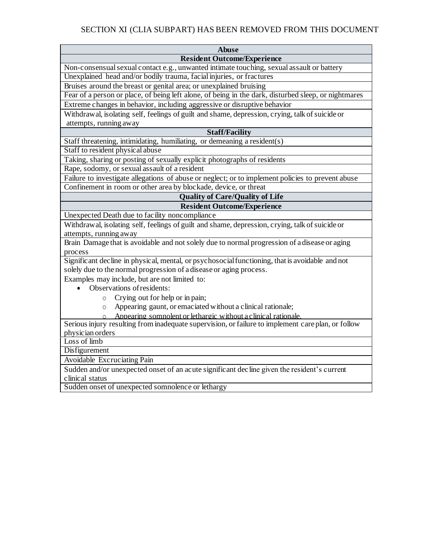| <b>Abuse</b>                                                                                         |  |  |  |
|------------------------------------------------------------------------------------------------------|--|--|--|
| <b>Resident Outcome/Experience</b>                                                                   |  |  |  |
| Non-consensual sexual contact e.g., unwanted intimate touching, sexual assault or battery            |  |  |  |
| Unexplained head and/or bodily trauma, facial injuries, or fractures                                 |  |  |  |
| Bruises around the breast or genital area; or unexplained bruising                                   |  |  |  |
| Fear of a person or place, of being left alone, of being in the dark, disturbed sleep, or nightmares |  |  |  |
| Extreme changes in behavior, including aggressive or disruptive behavior                             |  |  |  |
| Withdrawal, isolating self, feelings of guilt and shame, depression, crying, talk of suicide or      |  |  |  |
| attempts, running away                                                                               |  |  |  |
| <b>Staff/Facility</b>                                                                                |  |  |  |
| Staff threatening, intimidating, humiliating, or demeaning a resident(s)                             |  |  |  |
| Staff to resident physical abuse                                                                     |  |  |  |
| Taking, sharing or posting of sexually explicit photographs of residents                             |  |  |  |
| Rape, sodomy, or sexual assault of a resident                                                        |  |  |  |
| Failure to investigate allegations of abuse or neglect; or to implement policies to prevent abuse    |  |  |  |
| Confinement in room or other area by blockade, device, or threat                                     |  |  |  |
| <b>Quality of Care/Quality of Life</b>                                                               |  |  |  |
| <b>Resident Outcome/Experience</b>                                                                   |  |  |  |
| Unexpected Death due to facility noncompliance                                                       |  |  |  |
| Withdrawal, isolating self, feelings of guilt and shame, depression, crying, talk of suicide or      |  |  |  |
| attempts, running away                                                                               |  |  |  |
| Brain Damage that is avoidable and not solely due to normal progression of a disease or aging        |  |  |  |
| process                                                                                              |  |  |  |
| Significant decline in physical, mental, or psychosocial functioning, that is avoidable and not      |  |  |  |
| solely due to the normal progression of a disease or aging process.                                  |  |  |  |
| Examples may include, but are not limited to:                                                        |  |  |  |
| Observations of residents:                                                                           |  |  |  |
| Crying out for help or in pain;<br>$\circ$                                                           |  |  |  |
| Appearing gaunt, or emaciated without a clinical rationale;<br>$\circ$                               |  |  |  |
| Appearing somnolent or lethargic without a clinical rationale.                                       |  |  |  |
| Serious injury resulting from inadequate supervision, or failure to implement care plan, or follow   |  |  |  |
| physician orders                                                                                     |  |  |  |
| Loss of limb                                                                                         |  |  |  |
| Disfigurement                                                                                        |  |  |  |
| Avoidable Excruciating Pain                                                                          |  |  |  |
| Sudden and/or unexpected onset of an acute significant decline given the resident's current          |  |  |  |

clinical status

Sudden onset of unexpected somnolence or lethargy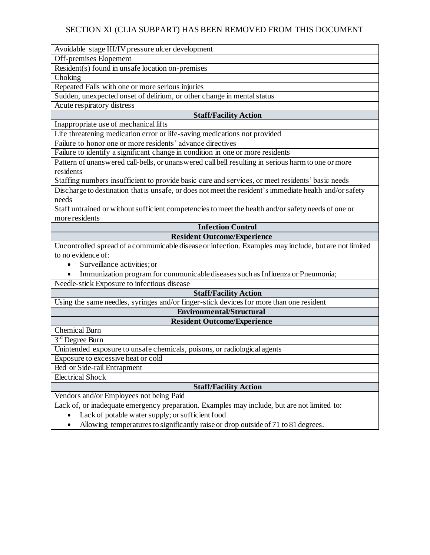Avoidable stage III/IV pressure ulcer development

Off-premises Elopement

Resident(s) found in unsafe location on-premises

Choking

Repeated Falls with one or more serious injuries

Sudden, unexpected onset of delirium, or other change in mental status

Acute respiratory distress

### **Staff/Facility Action**

Inappropriate use of mechanical lifts

Life threatening medication error or life-saving medications not provided

Failure to honor one or more residents' advance directives

Failure to identify a significant change in condition in one or more residents

Pattern of unanswered call-bells, or unanswered callbell resulting in serious harm to one or more residents

Staffing numbers insufficient to provide basic care and services, or meet residents' basic needs

Discharge to destination that is unsafe, or does not meet the resident's immediate health and/or safety needs

Staff untrained or without sufficient competencies to meet the health and/or safety needs of one or more residents

**Infection Control**

### **Resident Outcome/Experience**

Uncontrolled spread of a communicable disease or infection. Examples may include, but are not limited to no evidence of:

- Surveillance activities: or
- Immunization program for communicable diseases such as Influenza or Pneumonia;

Needle-stick Exposure to infectious disease

### **Staff/Facility Action**

Using the same needles, syringes and/or finger-stick devices for more than one resident

### **Environmental/Structural**

### **Resident Outcome/Experience**

Chemical Burn 3<sup>rd</sup> Degree Burn

Unintended exposure to unsafe chemicals, poisons, or radiological agents

Exposure to excessive heat or cold

Bed or Side-rail Entrapment

Electrical Shock

### **Staff/Facility Action**

Vendors and/or Employees not being Paid

Lack of, or inadequate emergency preparation. Examples may include, but are not limited to:

- Lack of potable water supply; or sufficient food
- Allowing temperatures to significantly raise or drop outside of 71 to 81 degrees.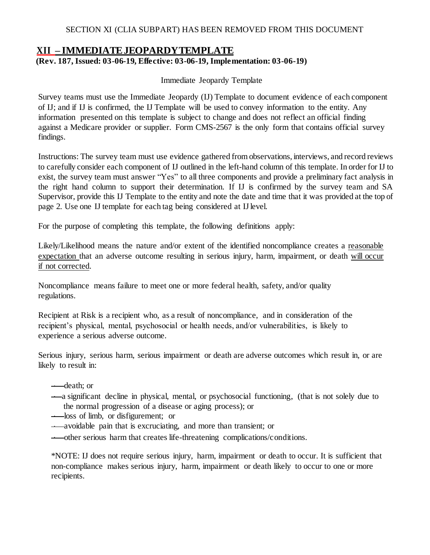## <span id="page-17-0"></span>**XII – IMMEDIATEJEOPARDYTEMPLATE**

### **(Rev. 187, Issued: 03-06-19, Effective: 03-06-19, Implementation: 03-06-19)**

Immediate Jeopardy Template

Survey teams must use the Immediate Jeopardy (IJ) Template to document evidence of each component of IJ; and if IJ is confirmed, the IJ Template will be used to convey information to the entity. Any information presented on this template is subject to change and does not reflect an official finding against a Medicare provider or supplier. Form CMS-2567 is the only form that contains official survey findings.

Instructions: The survey team must use evidence gathered from observations, interviews, and record reviews to carefully consider each component of IJ outlined in the left-hand column of this template. In order for IJ to exist, the survey team must answer "Yes" to all three components and provide a preliminary fact analysis in the right hand column to support their determination. If IJ is confirmed by the survey team and SA Supervisor, provide this IJ Template to the entity and note the date and time that it was provided at the top of page 2. Use one IJ template for each tag being considered at IJ level.

For the purpose of completing this template, the following definitions apply:

Likely/Likelihood means the nature and/or extent of the identified noncompliance creates a reasonable expectation that an adverse outcome resulting in serious injury, harm, impairment, or death will occur if not corrected.

Noncompliance means failure to meet one or more federal health, safety, and/or quality regulations.

Recipient at Risk is a recipient who, as a result of noncompliance, and in consideration of the recipient's physical, mental, psychosocial or health needs, and/or vulnerabilities, is likely to experience a serious adverse outcome.

Serious injury, serious harm, serious impairment or death are adverse outcomes which result in, or are likely to result in:

— death; or

a significant decline in physical, mental, or psychosocial functioning, (that is not solely due to the normal progression of a disease or aging process); or

**-** loss of limb, or disfigurement; or

avoidable pain that is excruciating, and more than transient; or

other serious harm that creates life-threatening complications/conditions.

\*NOTE: IJ does not require serious injury, harm, impairment or death to occur. It is sufficient that non-compliance makes serious injury, harm, impairment or death likely to occur to one or more recipients.